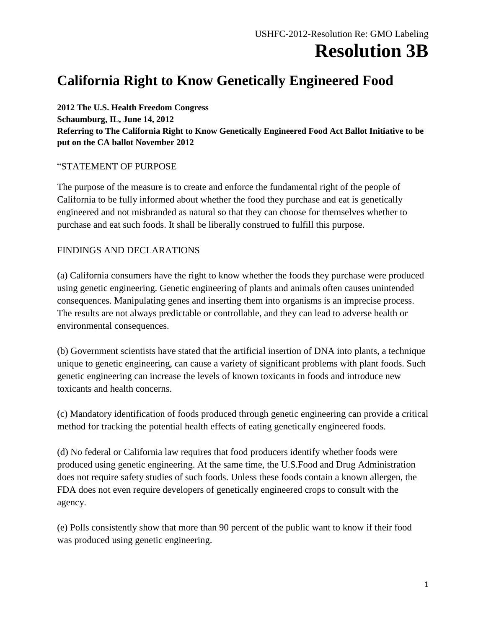### **Resolution 3B**

### **California Right to Know Genetically Engineered Food**

**2012 The U.S. Health Freedom Congress Schaumburg, IL, June 14, 2012 Referring to The California Right to Know Genetically Engineered Food Act Ballot Initiative to be put on the CA ballot November 2012**

#### "STATEMENT OF PURPOSE

The purpose of the measure is to create and enforce the fundamental right of the people of California to be fully informed about whether the food they purchase and eat is genetically engineered and not misbranded as natural so that they can choose for themselves whether to purchase and eat such foods. It shall be liberally construed to fulfill this purpose.

#### FINDINGS AND DECLARATIONS

(a) California consumers have the right to know whether the foods they purchase were produced using genetic engineering. Genetic engineering of plants and animals often causes unintended consequences. Manipulating genes and inserting them into organisms is an imprecise process. The results are not always predictable or controllable, and they can lead to adverse health or environmental consequences.

(b) Government scientists have stated that the artificial insertion of DNA into plants, a technique unique to genetic engineering, can cause a variety of significant problems with plant foods. Such genetic engineering can increase the levels of known toxicants in foods and introduce new toxicants and health concerns.

(c) Mandatory identification of foods produced through genetic engineering can provide a critical method for tracking the potential health effects of eating genetically engineered foods.

(d) No federal or California law requires that food producers identify whether foods were produced using genetic engineering. At the same time, the U.S.Food and Drug Administration does not require safety studies of such foods. Unless these foods contain a known allergen, the FDA does not even require developers of genetically engineered crops to consult with the agency.

(e) Polls consistently show that more than 90 percent of the public want to know if their food was produced using genetic engineering.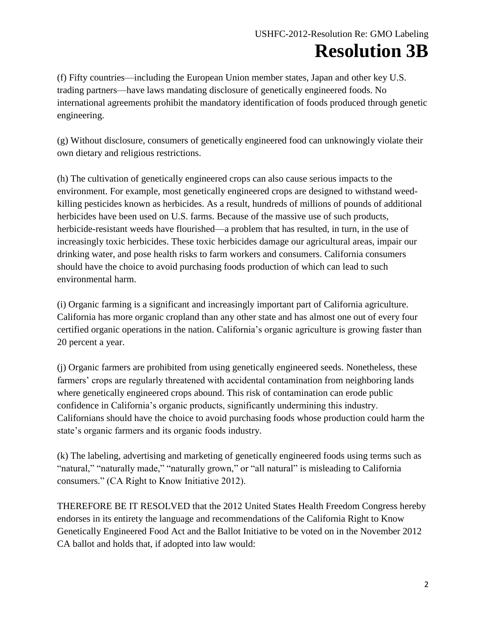## **Resolution 3B**

(f) Fifty countries—including the European Union member states, Japan and other key U.S. trading partners—have laws mandating disclosure of genetically engineered foods. No international agreements prohibit the mandatory identification of foods produced through genetic engineering.

(g) Without disclosure, consumers of genetically engineered food can unknowingly violate their own dietary and religious restrictions.

(h) The cultivation of genetically engineered crops can also cause serious impacts to the environment. For example, most genetically engineered crops are designed to withstand weedkilling pesticides known as herbicides. As a result, hundreds of millions of pounds of additional herbicides have been used on U.S. farms. Because of the massive use of such products, herbicide-resistant weeds have flourished—a problem that has resulted, in turn, in the use of increasingly toxic herbicides. These toxic herbicides damage our agricultural areas, impair our drinking water, and pose health risks to farm workers and consumers. California consumers should have the choice to avoid purchasing foods production of which can lead to such environmental harm.

(i) Organic farming is a significant and increasingly important part of California agriculture. California has more organic cropland than any other state and has almost one out of every four certified organic operations in the nation. California's organic agriculture is growing faster than 20 percent a year.

(j) Organic farmers are prohibited from using genetically engineered seeds. Nonetheless, these farmers' crops are regularly threatened with accidental contamination from neighboring lands where genetically engineered crops abound. This risk of contamination can erode public confidence in California's organic products, significantly undermining this industry. Californians should have the choice to avoid purchasing foods whose production could harm the state's organic farmers and its organic foods industry.

(k) The labeling, advertising and marketing of genetically engineered foods using terms such as "natural," "naturally made," "naturally grown," or "all natural" is misleading to California consumers." (CA Right to Know Initiative 2012).

THEREFORE BE IT RESOLVED that the 2012 United States Health Freedom Congress hereby endorses in its entirety the language and recommendations of the California Right to Know Genetically Engineered Food Act and the Ballot Initiative to be voted on in the November 2012 CA ballot and holds that, if adopted into law would: